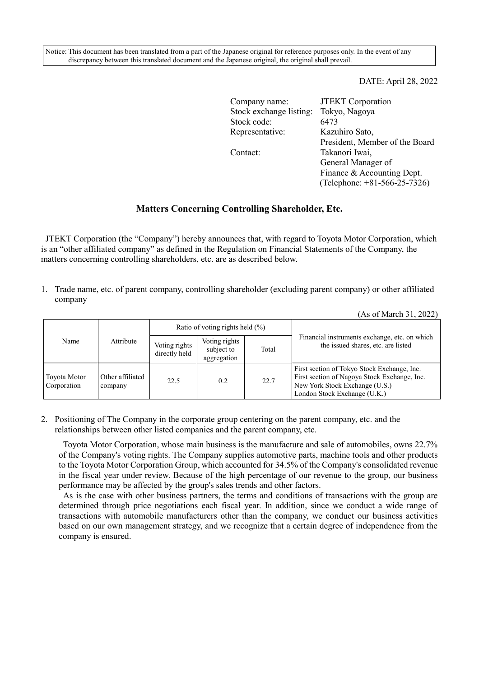Notice: This document has been translated from a part of the Japanese original for reference purposes only. In the event of any discrepancy between this translated document and the Japanese original, the original shall prevail.

#### DATE: April 28, 2022

| Company name:           | <b>JTEKT</b> Corporation       |
|-------------------------|--------------------------------|
| Stock exchange listing: | Tokyo, Nagoya                  |
| Stock code:             | 6473                           |
| Representative:         | Kazuhiro Sato,                 |
|                         | President, Member of the Board |
| Contact:                | Takanori Iwai,                 |
|                         | General Manager of             |
|                         | Finance & Accounting Dept.     |
|                         | (Telephone: +81-566-25-7326)   |

## **Matters Concerning Controlling Shareholder, Etc.**

JTEKT Corporation (the "Company") hereby announces that, with regard to Toyota Motor Corporation, which is an "other affiliated company" as defined in the Regulation on Financial Statements of the Company, the matters concerning controlling shareholders, etc. are as described below.

1. Trade name, etc. of parent company, controlling shareholder (excluding parent company) or other affiliated company

| Name                        | Attribute                   | Ratio of voting rights held $(\%)$ |                                            |       |                                                                                                                                                               |
|-----------------------------|-----------------------------|------------------------------------|--------------------------------------------|-------|---------------------------------------------------------------------------------------------------------------------------------------------------------------|
|                             |                             | Voting rights<br>directly held     | Voting rights<br>subject to<br>aggregation | Total | Financial instruments exchange, etc. on which<br>the issued shares, etc. are listed                                                                           |
| Toyota Motor<br>Corporation | Other affiliated<br>company | 22.5                               | 0.2                                        | 22.7  | First section of Tokyo Stock Exchange, Inc.<br>First section of Nagoya Stock Exchange, Inc.<br>New York Stock Exchange (U.S.)<br>London Stock Exchange (U.K.) |

2. Positioning of The Company in the corporate group centering on the parent company, etc. and the relationships between other listed companies and the parent company, etc.

Toyota Motor Corporation, whose main business is the manufacture and sale of automobiles, owns 22.7% of the Company's voting rights. The Company supplies automotive parts, machine tools and other products to the Toyota Motor Corporation Group, which accounted for 34.5% of the Company's consolidated revenue in the fiscal year under review. Because of the high percentage of our revenue to the group, our business performance may be affected by the group's sales trends and other factors.

As is the case with other business partners, the terms and conditions of transactions with the group are determined through price negotiations each fiscal year. In addition, since we conduct a wide range of transactions with automobile manufacturers other than the company, we conduct our business activities based on our own management strategy, and we recognize that a certain degree of independence from the company is ensured.